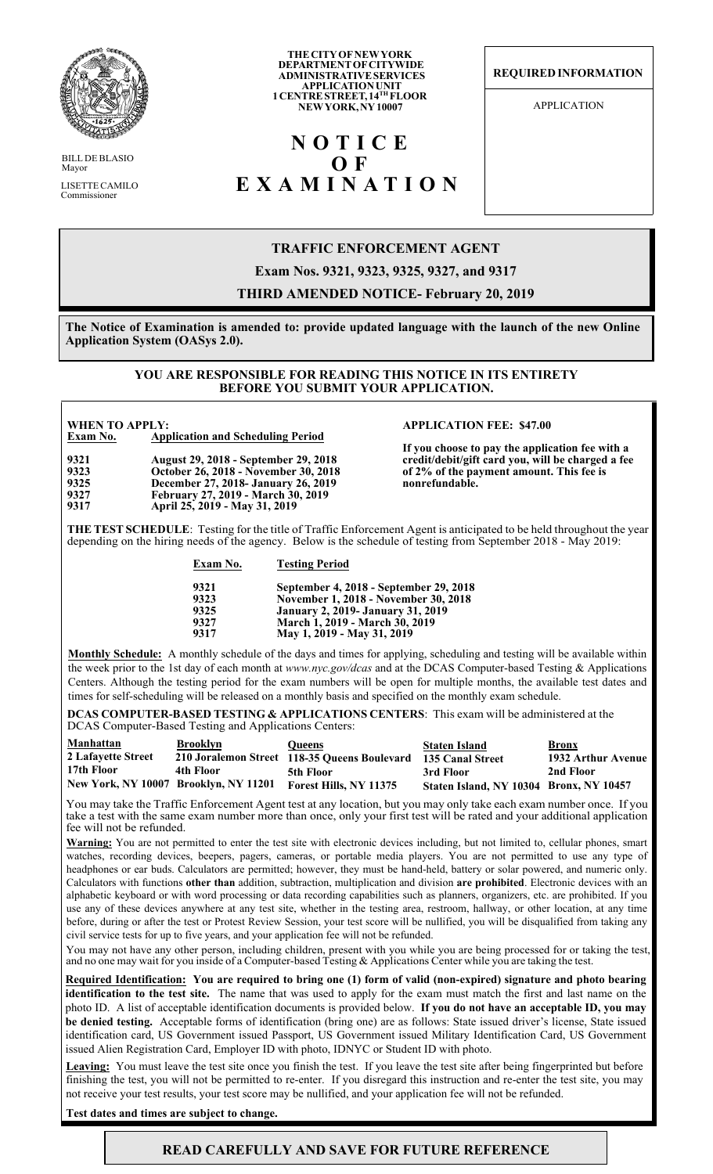

BILL DE BLASIO Mayor LISETTE CAMILO Commissioner

#### **THE CITY OF NEW YORK DEPARTMENT OF CITYWIDE ADMINISTRATIVE SERVICES APPLICATION UNIT 1 CENTRE STREET, 14TH FLOOR NEW YORK, NY 10007**

# **NOTICE O F EXAMINATION**

**REQUIRED INFORMATION**

APPLICATION

### **TRAFFIC ENFORCEMENT AGENT**

**Exam Nos. 9321, 9323, 9325, 9327, and 9317**

### **THIRD AMENDED NOTICE- February 20, 2019**

**The Notice of Examination is amended to: provide updated language with the launch of the new Online Application System (OASys 2.0).**

#### **YOU ARE RESPONSIBLE FOR READING THIS NOTICE IN ITS ENTIRETY BEFORE YOU SUBMIT YOUR APPLICATION.**

| <b>WHEN TO APPLY:</b> |                                             |  |  |  |
|-----------------------|---------------------------------------------|--|--|--|
| Exam No.              | <b>Application and Scheduling Period</b>    |  |  |  |
| 9321                  | <b>August 29, 2018 - September 29, 2018</b> |  |  |  |
| 9323                  | October 26, 2018 - November 30, 2018        |  |  |  |
| 9325                  | December 27, 2018- January 26, 2019         |  |  |  |
| 9327                  | February 27, 2019 - March 30, 2019          |  |  |  |
| 9317                  | April 25, 2019 - May 31, 2019               |  |  |  |

#### **WHEN TO APPLY: APPLICATION FEE: \$47.00**

**If you choose to pay the application fee with a credit/debit/gift card you, will be charged a fee of 2% of the payment amount. This fee is nonrefundable.**

**THE TEST SCHEDULE**: Testing for the title of Traffic Enforcement Agent is anticipated to be held throughout the year depending on the hiring needs of the agency. Below is the schedule of testing from September 2018 - May 2019:

### **Exam No. Testing Period**

| 9321 | September 4, 2018 - September 29, 2018    |
|------|-------------------------------------------|
| 9323 | November 1, 2018 - November 30, 2018      |
| 9325 | <b>January 2, 2019 - January 31, 2019</b> |
| 9327 | March 1, 2019 - March 30, 2019            |
| 9317 | May 1, 2019 - May 31, 2019                |

**Monthly Schedule:** A monthly schedule of the days and times for applying, scheduling and testing will be available within the week prior to the 1st day of each month at *www.nyc.gov/dcas* and at the DCAS Computer-based Testing & Applications Centers. Although the testing period for the exam numbers will be open for multiple months, the available test dates and times for self-scheduling will be released on a monthly basis and specified on the monthly exam schedule.

**DCAS COMPUTER-BASED TESTING & APPLICATIONS CENTERS**: This exam will be administered at the DCAS Computer-Based Testing and Applications Centers:

| Manhattan          | Brooklyn                              | <b>Oueens</b>                                                 | <b>Staten Island</b>                    | <b>Bronx</b>       |
|--------------------|---------------------------------------|---------------------------------------------------------------|-----------------------------------------|--------------------|
| 2 Lafavette Street |                                       | 210 Joralemon Street 118-35 Queens Boulevard 135 Canal Street |                                         | 1932 Arthur Avenue |
| 17th Floor         | 4th Floor                             | 5th Floor                                                     | 3rd Floor                               | 2nd Floor          |
|                    | New York, NY 10007 Brooklyn, NY 11201 | Forest Hills, NY 11375                                        | Staten Island, NY 10304 Bronx, NY 10457 |                    |

You may take the Traffic Enforcement Agent test at any location, but you may only take each exam number once. If you take a test with the same exam number more than once, only your first test will be rated and your additional application fee will not be refunded.

**Warning:** You are not permitted to enter the test site with electronic devices including, but not limited to, cellular phones, smart watches, recording devices, beepers, pagers, cameras, or portable media players. You are not permitted to use any type of headphones or ear buds. Calculators are permitted; however, they must be hand-held, battery or solar powered, and numeric only. Calculators with functions **other than** addition, subtraction, multiplication and division **are prohibited**. Electronic devices with an alphabetic keyboard or with word processing or data recording capabilities such as planners, organizers, etc. are prohibited. If you use any of these devices anywhere at any test site, whether in the testing area, restroom, hallway, or other location, at any time before, during or after the test or Protest Review Session, your test score will be nullified, you will be disqualified from taking any civil service tests for up to five years, and your application fee will not be refunded.

You may not have any other person, including children, present with you while you are being processed for or taking the test, and no one may wait for you inside of a Computer-based Testing  $\&$  Applications Center while you are taking the test.

**Required Identification: You are required to bring one (1) form of valid (non-expired) signature and photo bearing identification to the test site.** The name that was used to apply for the exam must match the first and last name on the photo ID. A list of acceptable identification documents is provided below. **If you do not have an acceptable ID, you may be denied testing.** Acceptable forms of identification (bring one) are as follows: State issued driver's license, State issued identification card, US Government issued Passport, US Government issued Military Identification Card, US Government issued Alien Registration Card, Employer ID with photo, IDNYC or Student ID with photo.

**Leaving:** You must leave the test site once you finish the test. If you leave the test site after being fingerprinted but before finishing the test, you will not be permitted to re-enter. If you disregard this instruction and re-enter the test site, you may not receive your test results, your test score may be nullified, and your application fee will not be refunded.

**Test dates and times are subject to change.**

## **READ CAREFULLY AND SAVE FOR FUTURE REFERENCE**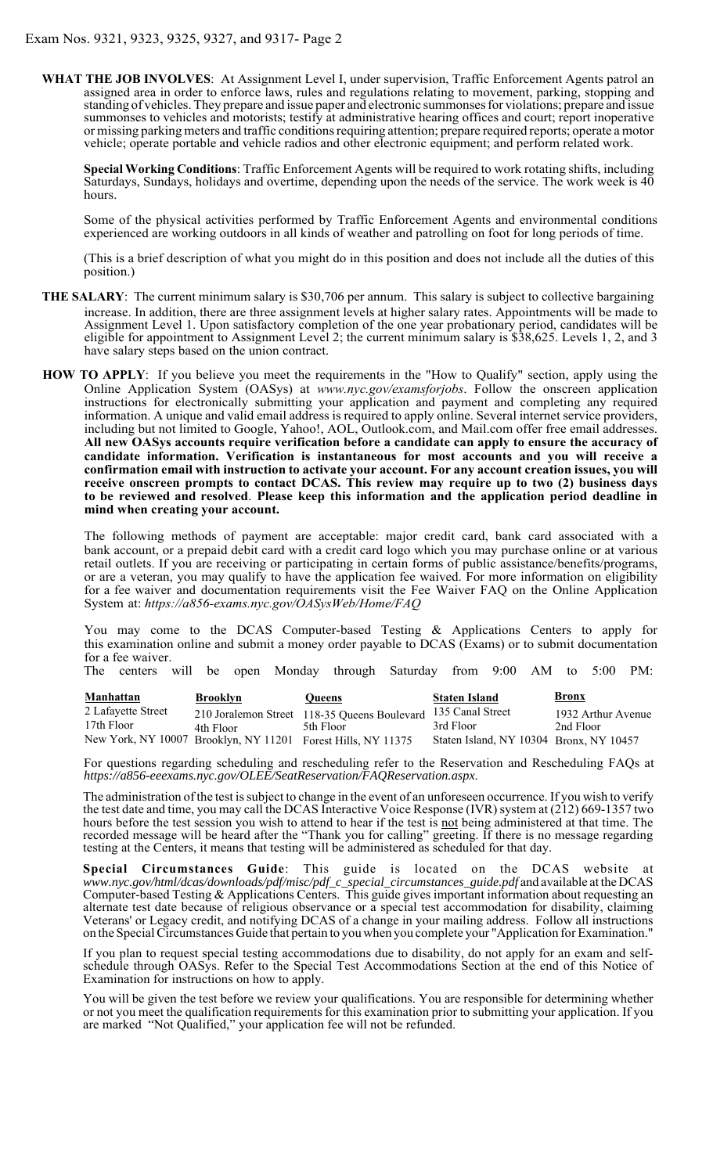**WHAT THE JOB INVOLVES**: At Assignment Level I, under supervision, Traffic Enforcement Agents patrol an assigned area in order to enforce laws, rules and regulations relating to movement, parking, stopping and standing of vehicles. They prepare and issue paper and electronic summonses for violations; prepare and issue summonses to vehicles and motorists; testify at administrative hearing offices and court; report inoperative or missing parking meters and traffic conditions requiring attention; prepare required reports; operate a motor vehicle; operate portable and vehicle radios and other electronic equipment; and perform related work.

**Special Working Conditions**: Traffic Enforcement Agents will be required to work rotating shifts, including Saturdays, Sundays, holidays and overtime, depending upon the needs of the service. The work week is 40 hours.

Some of the physical activities performed by Traffic Enforcement Agents and environmental conditions experienced are working outdoors in all kinds of weather and patrolling on foot for long periods of time.

(This is a brief description of what you might do in this position and does not include all the duties of this position.)

- **THE SALARY**: The current minimum salary is \$30,706 per annum. This salary is subject to collective bargaining increase. In addition, there are three assignment levels at higher salary rates. Appointments will be made to Assignment Level 1. Upon satisfactory completion of the one year probationary period, candidates will be eligible for appointment to Assignment Level 2; the current minimum salary is \$38,625. Levels 1, 2, and 3 have salary steps based on the union contract.
- Online Application System (OASys) at *www.nyc.gov/examsforjobs*. Follow the onscreen application instructions for electronically submitting your application and payment and completing any required information. A unique and valid email address is required to apply online. Several internet service providers, including but not limited to Google, Yahoo!, AOL, Outlook.com, and Mail.com offer free email addresses. **All new OASys accounts require verification before a candidate can apply to ensure the accuracy of candidate information. Verification is instantaneous for most accounts and you will receive a confirmation email with instruction to activate your account. For any account creation issues, you will receive onscreen prompts to contact DCAS. This review may require up to two (2) business days to be reviewed and resolved**. **Please keep this information and the application period deadline in mind when creating your account. HOW TO APPLY**: If you believe you meet the requirements in the "How to Qualify" section, apply using the

The following methods of payment are acceptable: major credit card, bank card associated with a bank account, or a prepaid debit card with a credit card logo which you may purchase online or at various retail outlets. If you are receiving or participating in certain forms of public assistance/benefits/programs, or are a veteran, you may qualify to have the application fee waived. For more information on eligibility for a fee waiver and documentation requirements visit the Fee Waiver FAQ on the Online Application System at: *https://a856-exams.nyc.gov/OASysWeb/Home/FAQ*

You may come to the DCAS Computer-based Testing & Applications Centers to apply for this examination online and submit a money order payable to DCAS (Exams) or to submit documentation for a fee waiver.

The centers will be open Monday through Saturday from 9:00 AM to 5:00 PM:

| <b>Manhattan</b>   | <b>Brooklyn</b> | <b>Oueens</b>                                                 | <b>Staten Island</b>                    | <b>Bronx</b>       |
|--------------------|-----------------|---------------------------------------------------------------|-----------------------------------------|--------------------|
| 2 Lafayette Street |                 | 210 Joralemon Street 118-35 Queens Boulevard 135 Canal Street |                                         | 1932 Arthur Avenue |
| 17th Floor         | 4th Floor       | 5th Floor                                                     | 3rd Floor                               | 2nd Floor          |
|                    |                 | New York, NY 10007 Brooklyn, NY 11201 Forest Hills, NY 11375  | Staten Island, NY 10304 Bronx, NY 10457 |                    |

For questions regarding scheduling and rescheduling refer to the Reservation and Rescheduling FAQs at *https://a856-eeexams.nyc.gov/OLEE/SeatReservation/FAQReservation.aspx*.

The administration of the test is subject to change in the event of an unforeseen occurrence. If you wish to verify the test date and time, you may call the DCAS Interactive Voice Response (IVR) system at (212) 669-1357 two hours before the test session you wish to attend to hear if the test is not being administered at that time. The recorded message will be heard after the "Thank you for calling" greeting. If there is no message regarding testing at the Centers, it means that testing will be administered as scheduled for that day.

**Special Circumstances Guide**: This guide is located on the DCAS website at *www.nyc.gov/html/dcas/downloads/pdf/misc/pdf\_c\_special\_circumstances\_guide.pdf* and available at the DCAS Computer-based Testing & Applications Centers. This guide gives important information about requesting an alternate test date because of religious observance or a special test accommodation for disability, claiming Veterans' or Legacy credit, and notifying DCAS of a change in your mailing address. Follow all instructions on the Special Circumstances Guide that pertain to you when you complete your "Application for Examination."

If you plan to request special testing accommodations due to disability, do not apply for an exam and selfschedule through OASys. Refer to the Special Test Accommodations Section at the end of this Notice of Examination for instructions on how to apply.

You will be given the test before we review your qualifications. You are responsible for determining whether or not you meet the qualification requirements for this examination prior to submitting your application. If you are marked "Not Qualified," your application fee will not be refunded.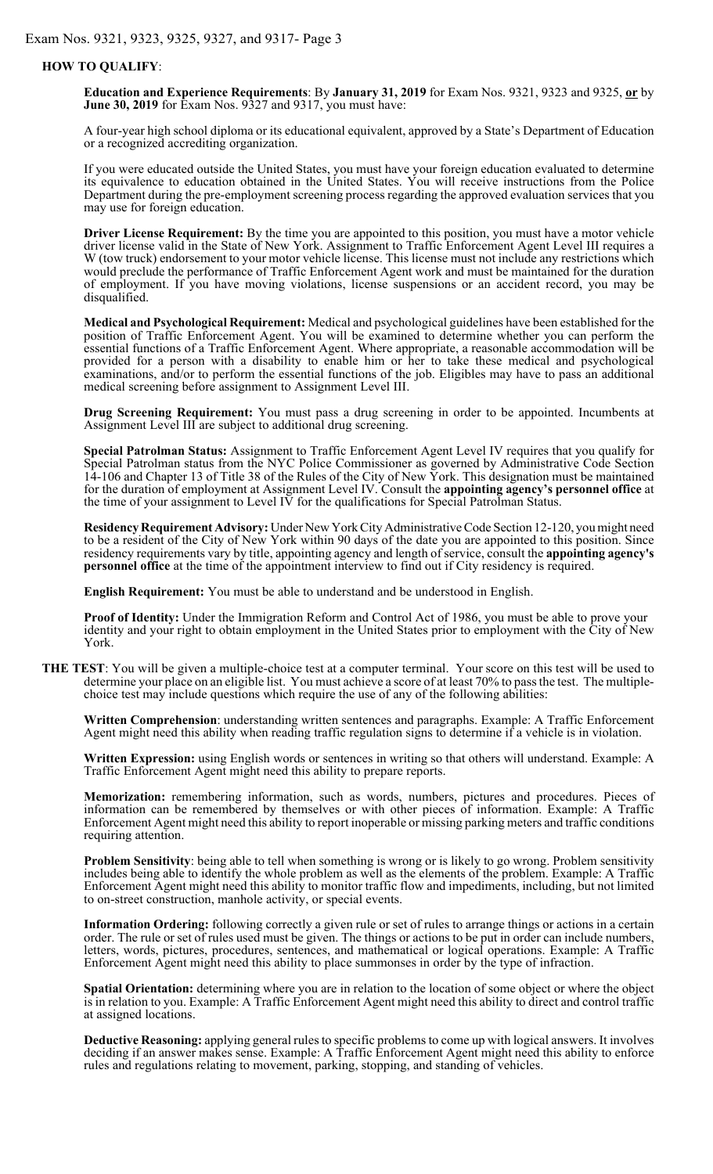#### **HOW TO QUALIFY**:

**Education and Experience Requirements**: By **January 31, 2019** for Exam Nos. 9321, 9323 and 9325, **or** by **June 30, 2019** for Exam Nos. 9327 and 9317, you must have:

A four-year high school diploma or its educational equivalent, approved by a State's Department of Education or a recognized accrediting organization.

If you were educated outside the United States, you must have your foreign education evaluated to determine its equivalence to education obtained in the United States. You will receive instructions from the Police Department during the pre-employment screening process regarding the approved evaluation services that you may use for foreign education.

**Driver License Requirement:** By the time you are appointed to this position, you must have a motor vehicle driver license valid in the State of New York. Assignment to Traffic Enforcement Agent Level III requires a W (tow truck) endorsement to your motor vehicle license. This license must not include any restrictions which would preclude the performance of Traffic Enforcement Agent work and must be maintained for the duration of employment. If you have moving violations, license suspensions or an accident record, you may be disqualified.

**Medical and Psychological Requirement:** Medical and psychological guidelines have been established for the position of Traffic Enforcement Agent. You will be examined to determine whether you can perform the essential functions of a Traffic Enforcement Agent. Where appropriate, a reasonable accommodation will be provided for a person with a disability to enable him or her to take these medical and psychological examinations, and/or to perform the essential functions of the job. Eligibles may have to pass an additional medical screening before assignment to Assignment Level III.

**Drug Screening Requirement:** You must pass a drug screening in order to be appointed. Incumbents at Assignment Level III are subject to additional drug screening.

**Special Patrolman Status:** Assignment to Traffic Enforcement Agent Level IV requires that you qualify for Special Patrolman status from the NYC Police Commissioner as governed by Administrative Code Section 14-106 and Chapter 13 of Title 38 of the Rules of the City of New York. This designation must be maintained for the duration of employment at Assignment Level IV. Consult the **appointing agency's personnel office** at the time of your assignment to Level IV for the qualifications for Special Patrolman Status.

**Residency Requirement Advisory:** Under New York City Administrative Code Section 12-120, you might need to be a resident of the City of New York within 90 days of the date you are appointed to this position. Since residency requirements vary by title, appointing agency and length of service, consult the **appointing agency's personnel office** at the time of the appointment interview to find out if City residency is required.

**English Requirement:** You must be able to understand and be understood in English.

**Proof of Identity:** Under the Immigration Reform and Control Act of 1986, you must be able to prove your identity and your right to obtain employment in the United States prior to employment with the City of New York.

**THE TEST**: You will be given a multiple-choice test at a computer terminal. Your score on this test will be used to determine your place on an eligible list. You must achieve a score of at least 70% to pass the test. The multiplechoice test may include questions which require the use of any of the following abilities:

**Written Comprehension**: understanding written sentences and paragraphs. Example: A Traffic Enforcement Agent might need this ability when reading traffic regulation signs to determine if a vehicle is in violation.

**Written Expression:** using English words or sentences in writing so that others will understand. Example: A Traffic Enforcement Agent might need this ability to prepare reports.

**Memorization:** remembering information, such as words, numbers, pictures and procedures. Pieces of information can be remembered by themselves or with other pieces of information. Example: A Traffic Enforcement Agent might need this ability to report inoperable or missing parking meters and traffic conditions requiring attention.

**Problem Sensitivity**: being able to tell when something is wrong or is likely to go wrong. Problem sensitivity includes being able to identify the whole problem as well as the elements of the problem. Example: A Traffic Enforcement Agent might need this ability to monitor traffic flow and impediments, including, but not limited to on-street construction, manhole activity, or special events.

**Information Ordering:** following correctly a given rule or set of rules to arrange things or actions in a certain order. The rule or set of rules used must be given. The things or actions to be put in order can include numbers, letters, words, pictures, procedures, sentences, and mathematical or logical operations. Example: A Traffic Enforcement Agent might need this ability to place summonses in order by the type of infraction.

**Spatial Orientation:** determining where you are in relation to the location of some object or where the object is in relation to you. Example: A Traffic Enforcement Agent might need this ability to direct and control traffic at assigned locations.

**Deductive Reasoning:** applying general rules to specific problems to come up with logical answers. It involves deciding if an answer makes sense. Example: A Traffic Enforcement Agent might need this ability to enforce rules and regulations relating to movement, parking, stopping, and standing of vehicles.